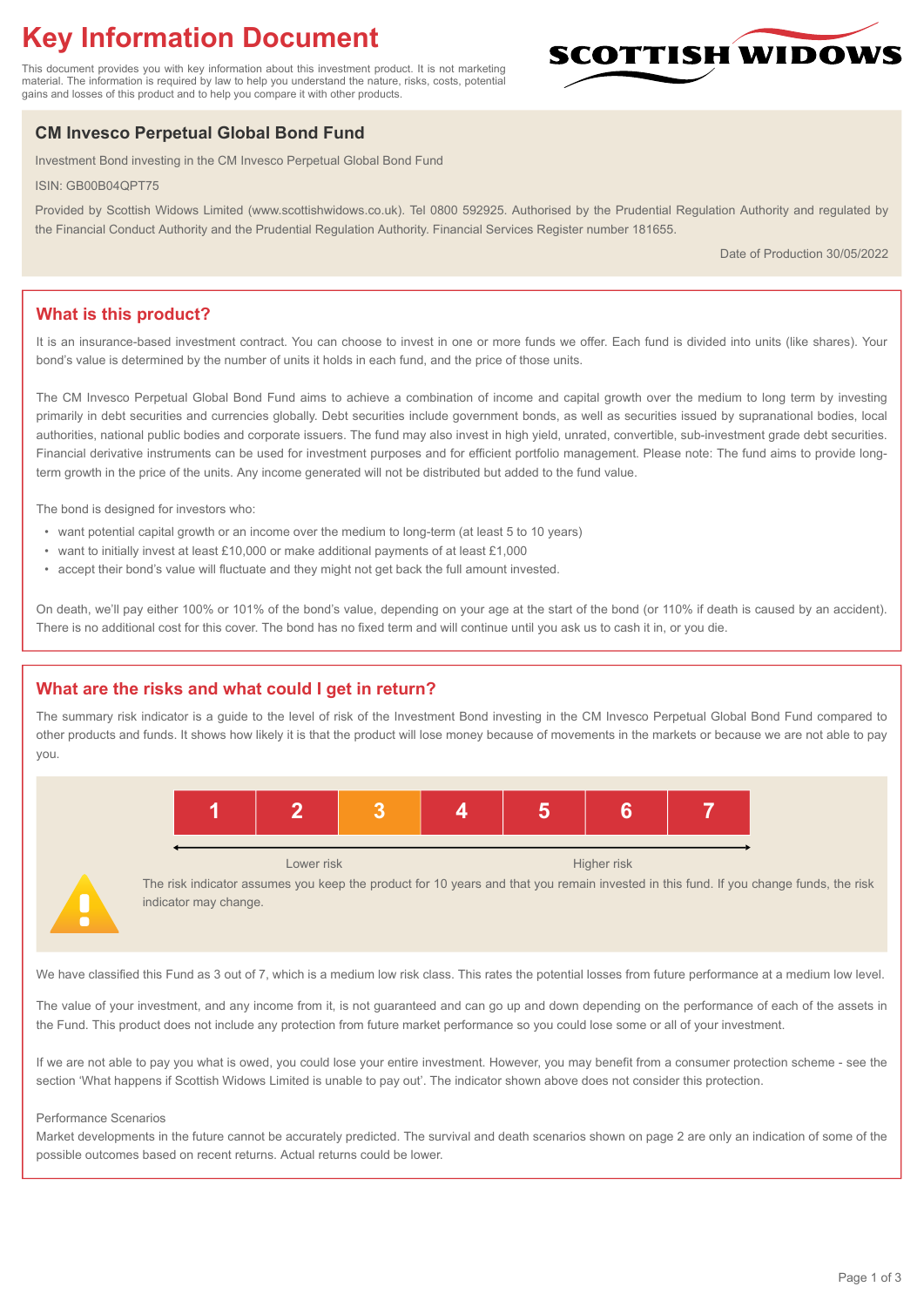# **Key Information Document**

This document provides you with key information about this investment product. It is not marketing material. The information is required by law to help you understand the nature, risks, costs, potential gains and losses of this product and to help you compare it with other products.

## **CM Invesco Perpetual Global Bond Fund**

Investment Bond investing in the CM Invesco Perpetual Global Bond Fund

ISIN: GB00B04QPT75

Provided by Scottish Widows Limited (www.scottishwidows.co.uk). Tel 0800 592925. Authorised by the Prudential Regulation Authority and regulated by the Financial Conduct Authority and the Prudential Regulation Authority. Financial Services Register number 181655.

Date of Production 30/05/2022

**SCOTTISH WIDOW** 

## **What is this product?**

It is an insurance-based investment contract. You can choose to invest in one or more funds we offer. Each fund is divided into units (like shares). Your bond's value is determined by the number of units it holds in each fund, and the price of those units.

The CM Invesco Perpetual Global Bond Fund aims to achieve a combination of income and capital growth over the medium to long term by investing primarily in debt securities and currencies globally. Debt securities include government bonds, as well as securities issued by supranational bodies, local authorities, national public bodies and corporate issuers. The fund may also invest in high yield, unrated, convertible, sub-investment grade debt securities. Financial derivative instruments can be used for investment purposes and for efficient portfolio management. Please note: The fund aims to provide longterm growth in the price of the units. Any income generated will not be distributed but added to the fund value.

The bond is designed for investors who:

- want potential capital growth or an income over the medium to long-term (at least 5 to 10 years)
- want to initially invest at least £10,000 or make additional payments of at least £1,000
- accept their bond's value will fluctuate and they might not get back the full amount invested.

On death, we'll pay either 100% or 101% of the bond's value, depending on your age at the start of the bond (or 110% if death is caused by an accident). There is no additional cost for this cover. The bond has no fixed term and will continue until you ask us to cash it in, or you die.

## **What are the risks and what could I get in return?**

The summary risk indicator is a guide to the level of risk of the Investment Bond investing in the CM Invesco Perpetual Global Bond Fund compared to other products and funds. It shows how likely it is that the product will lose money because of movements in the markets or because we are not able to pay you.





Lower risk Higher risk

The risk indicator assumes you keep the product for 10 years and that you remain invested in this fund. If you change funds, the risk indicator may change.

We have classified this Fund as 3 out of 7, which is a medium low risk class. This rates the potential losses from future performance at a medium low level.

The value of your investment, and any income from it, is not guaranteed and can go up and down depending on the performance of each of the assets in the Fund. This product does not include any protection from future market performance so you could lose some or all of your investment.

If we are not able to pay you what is owed, you could lose your entire investment. However, you may benefit from a consumer protection scheme - see the section 'What happens if Scottish Widows Limited is unable to pay out'. The indicator shown above does not consider this protection.

#### Performance Scenarios

Market developments in the future cannot be accurately predicted. The survival and death scenarios shown on page 2 are only an indication of some of the possible outcomes based on recent returns. Actual returns could be lower.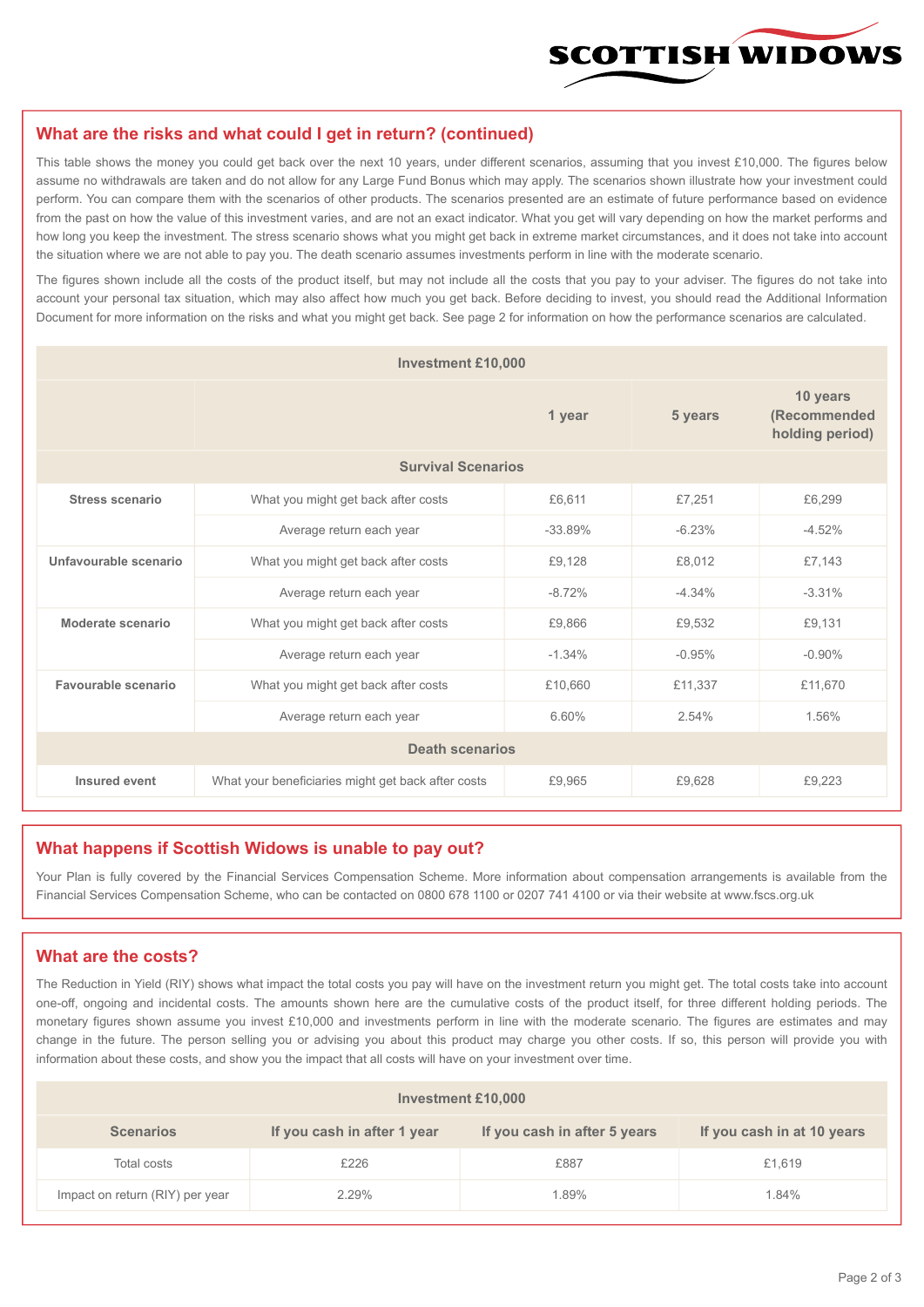

#### **What are the risks and what could I get in return? (continued)**

This table shows the money you could get back over the next 10 years, under different scenarios, assuming that you invest £10,000. The figures below assume no withdrawals are taken and do not allow for any Large Fund Bonus which may apply. The scenarios shown illustrate how your investment could perform. You can compare them with the scenarios of other products. The scenarios presented are an estimate of future performance based on evidence from the past on how the value of this investment varies, and are not an exact indicator. What you get will vary depending on how the market performs and how long you keep the investment. The stress scenario shows what you might get back in extreme market circumstances, and it does not take into account the situation where we are not able to pay you. The death scenario assumes investments perform in line with the moderate scenario.

The figures shown include all the costs of the product itself, but may not include all the costs that you pay to your adviser. The figures do not take into account your personal tax situation, which may also affect how much you get back. Before deciding to invest, you should read the Additional Information Document for more information on the risks and what you might get back. See page 2 for information on how the performance scenarios are calculated.

| <b>Investment £10,000</b> |                                                    |           |          |                                             |  |  |
|---------------------------|----------------------------------------------------|-----------|----------|---------------------------------------------|--|--|
|                           |                                                    | 1 year    | 5 years  | 10 years<br>(Recommended<br>holding period) |  |  |
| <b>Survival Scenarios</b> |                                                    |           |          |                                             |  |  |
| <b>Stress scenario</b>    | £6,611<br>What you might get back after costs      |           | £7,251   | £6,299                                      |  |  |
|                           | Average return each year                           | $-33.89%$ | $-6.23%$ | $-4.52%$                                    |  |  |
| Unfavourable scenario     | What you might get back after costs<br>£9,128      |           | £8.012   | £7,143                                      |  |  |
|                           | Average return each year                           | $-8.72%$  | $-4.34%$ | $-3.31%$                                    |  |  |
| Moderate scenario         | What you might get back after costs<br>£9,866      |           | £9,532   | £9,131                                      |  |  |
|                           | Average return each year                           | $-1.34%$  | $-0.95%$ | $-0.90\%$                                   |  |  |
| Favourable scenario       | What you might get back after costs                | £10,660   | £11,337  | £11,670                                     |  |  |
|                           | Average return each year                           | 6.60%     | 2.54%    | 1.56%                                       |  |  |
| <b>Death scenarios</b>    |                                                    |           |          |                                             |  |  |
| Insured event             | What your beneficiaries might get back after costs | £9,965    | £9.628   | £9,223                                      |  |  |

#### **What happens if Scottish Widows is unable to pay out?**

Your Plan is fully covered by the Financial Services Compensation Scheme. More information about compensation arrangements is available from the Financial Services Compensation Scheme, who can be contacted on 0800 678 1100 or 0207 741 4100 or via their website at www.fscs.org.uk

#### **What are the costs?**

The Reduction in Yield (RIY) shows what impact the total costs you pay will have on the investment return you might get. The total costs take into account one-off, ongoing and incidental costs. The amounts shown here are the cumulative costs of the product itself, for three different holding periods. The monetary figures shown assume you invest £10,000 and investments perform in line with the moderate scenario. The figures are estimates and may change in the future. The person selling you or advising you about this product may charge you other costs. If so, this person will provide you with information about these costs, and show you the impact that all costs will have on your investment over time.

| Investment £10,000              |                             |                              |                            |  |  |  |
|---------------------------------|-----------------------------|------------------------------|----------------------------|--|--|--|
| <b>Scenarios</b>                | If you cash in after 1 year | If you cash in after 5 years | If you cash in at 10 years |  |  |  |
| Total costs                     | £226                        | £887                         | £1,619                     |  |  |  |
| Impact on return (RIY) per year | 2.29%                       | 1.89%                        | 1.84%                      |  |  |  |